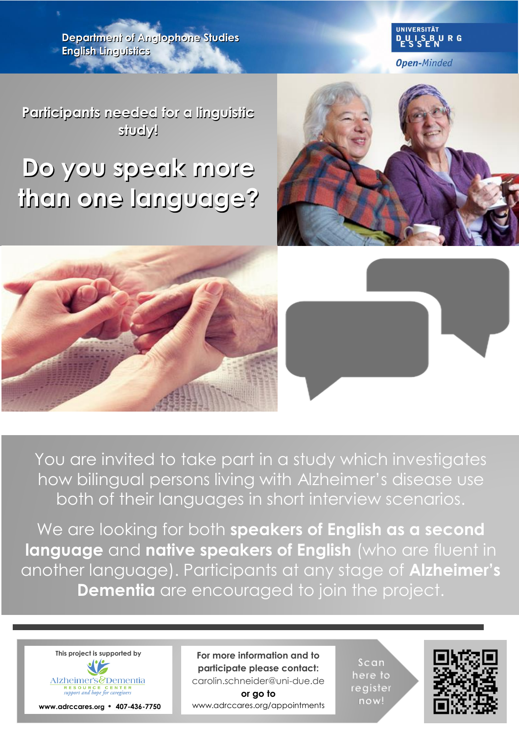**Department of Anglophone Studies English Linguistics**



**Open-Minded** 

**Participants needed for a linguistic study!**

**A SHOP AND A REAL** 

## **Do you speak more than one language?**





You are invited to take part in a study which investigates how bilingual persons living with Alzheimer's disease use both of their languages in short interview scenarios.

We are looking for both **speakers of English as a second language** and **native speakers of English** (who are fluent in another language). Participants at any stage of **Alzheimer's Dementia** are encouraged to join the project.



**www.adrccares.org • 407-436-7750**

**For more information and to participate please contact:** carolin.schneider@uni-due.de

**or go to** www.adrccares.org/appointments

**Scan here to register now!**